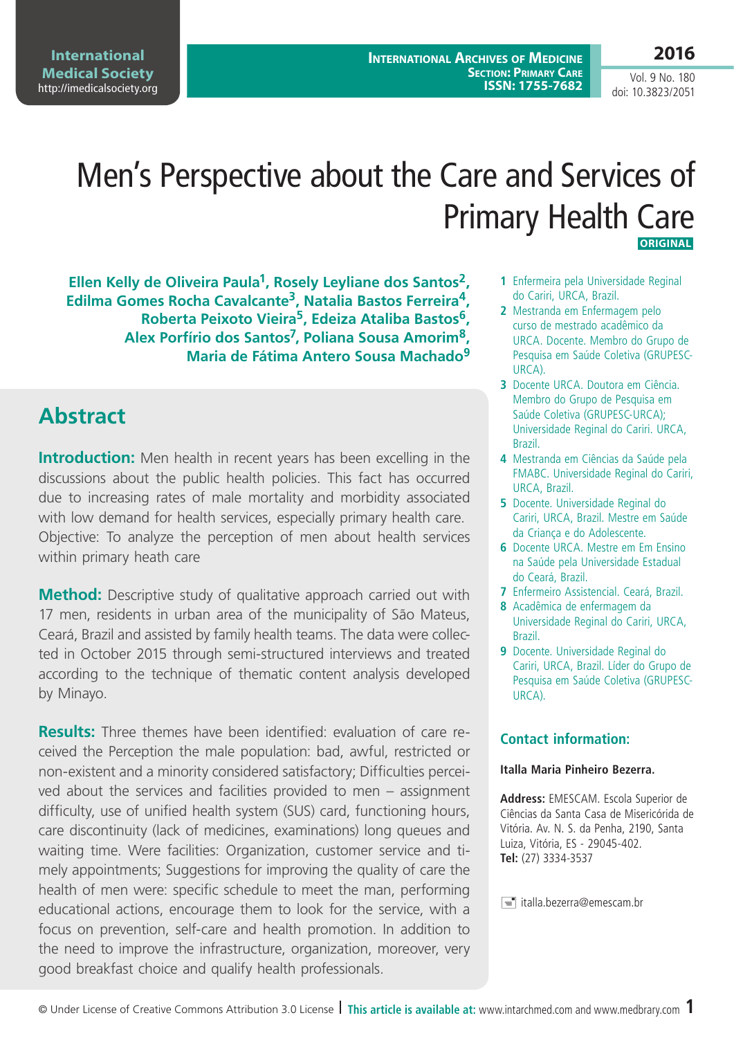**International Medical Society**  <http://imedicalsociety.org>

**International Archives of Medicine Section: Primary Care ISSN: 1755-7682**

**2016** Vol. 9 No. 180

doi: 10.3823/2051

# Men's Perspective about the Care and Services of Primary Health Care  **ORIGINAL**

**Ellen Kelly de Oliveira Paula1, Rosely Leyliane dos Santos2, Edilma Gomes Rocha Cavalcante3, Natalia Bastos Ferreira4, Roberta Peixoto Vieira5, Edeiza Ataliba Bastos6, Alex Porfírio dos Santos7, Poliana Sousa Amorim8, Maria de Fátima Antero Sousa Machado9**

## **Abstract**

**Introduction:** Men health in recent years has been excelling in the discussions about the public health policies. This fact has occurred due to increasing rates of male mortality and morbidity associated with low demand for health services, especially primary health care. Objective: To analyze the perception of men about health services within primary heath care

**Method:** Descriptive study of qualitative approach carried out with 17 men, residents in urban area of the municipality of São Mateus, Ceará, Brazil and assisted by family health teams. The data were collected in October 2015 through semi-structured interviews and treated according to the technique of thematic content analysis developed by Minayo.

**Results:** Three themes have been identified: evaluation of care received the Perception the male population: bad, awful, restricted or non-existent and a minority considered satisfactory; Difficulties perceived about the services and facilities provided to men – assignment difficulty, use of unified health system (SUS) card, functioning hours, care discontinuity (lack of medicines, examinations) long queues and waiting time. Were facilities: Organization, customer service and timely appointments; Suggestions for improving the quality of care the health of men were: specific schedule to meet the man, performing educational actions, encourage them to look for the service, with a focus on prevention, self-care and health promotion. In addition to the need to improve the infrastructure, organization, moreover, very good breakfast choice and qualify health professionals.

- **1** Enfermeira pela Universidade Reginal do Cariri, URCA, Brazil.
- **2** Mestranda em Enfermagem pelo curso de mestrado acadêmico da URCA. Docente. Membro do Grupo de Pesquisa em Saúde Coletiva (GRUPESC-URCA).
- **3** Docente URCA. Doutora em Ciência. Membro do Grupo de Pesquisa em Saúde Coletiva (GRUPESC-URCA); Universidade Reginal do Cariri. URCA, Brazil.
- **4** Mestranda em Ciências da Saúde pela FMABC. Universidade Reginal do Cariri, URCA, Brazil.
- **5** Docente. Universidade Reginal do Cariri, URCA, Brazil. Mestre em Saúde da Criança e do Adolescente.
- **6** Docente URCA. Mestre em Em Ensino na Saúde pela Universidade Estadual do Ceará, Brazil.
- **7** Enfermeiro Assistencial. Ceará, Brazil.
- **8** Acadêmica de enfermagem da Universidade Reginal do Cariri, URCA, Brazil.
- **9** Docente. Universidade Reginal do Cariri, URCA, Brazil. Líder do Grupo de Pesquisa em Saúde Coletiva (GRUPESC-URCA).

### **Contact information:**

#### **Italla Maria Pinheiro Bezerra.**

**Address:** EMESCAM. Escola Superior de Ciências da Santa Casa de Misericórida de Vitória. Av. N. S. da Penha, 2190, Santa Luiza, Vitória, ES - 29045-402. **Tel:** (27) 3334-3537

 $\equiv$  italla.bezerra@emescam.br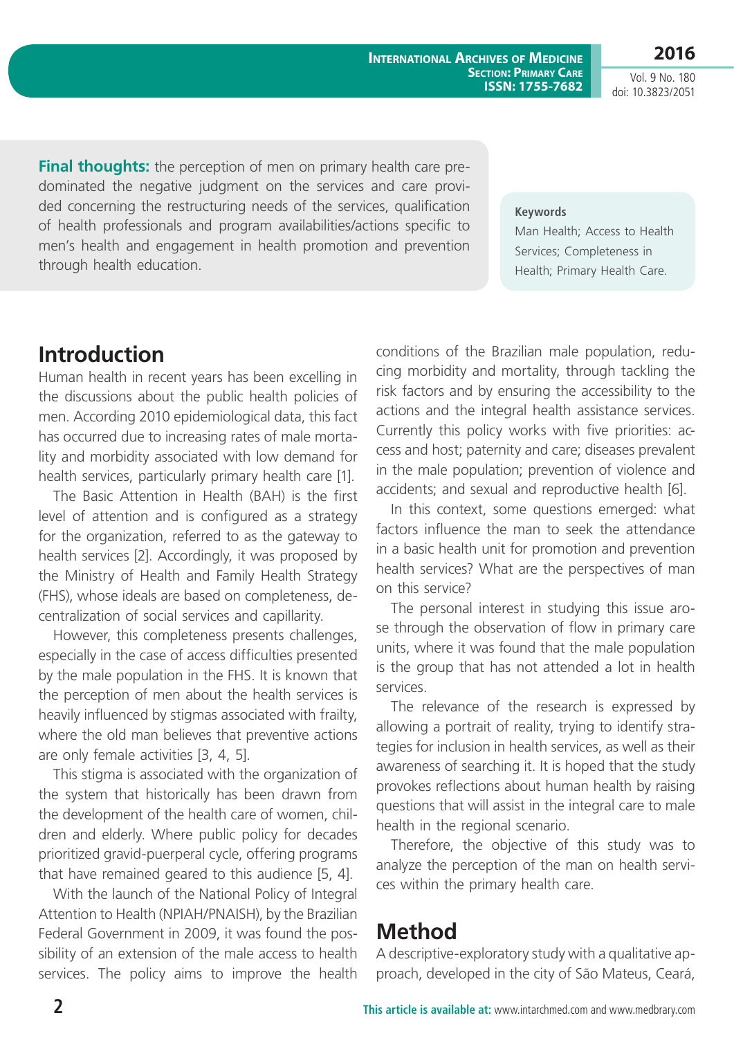**International Archives of Medicine Section: Primary Care ISSN: 1755-7682**

**2016** Vol. 9 No. 180

doi: 10.3823/2051

**Final thoughts:** the perception of men on primary health care predominated the negative judgment on the services and care provided concerning the restructuring needs of the services, qualification of health professionals and program availabilities/actions specific to men's health and engagement in health promotion and prevention through health education.

#### **Keywords**

Man Health; Access to Health Services; Completeness in Health; Primary Health Care.

# **Introduction**

Human health in recent years has been excelling in the discussions about the public health policies of men. According 2010 epidemiological data, this fact has occurred due to increasing rates of male mortality and morbidity associated with low demand for health services, particularly primary health care [1].

The Basic Attention in Health (BAH) is the first level of attention and is configured as a strategy for the organization, referred to as the gateway to health services [2]. Accordingly, it was proposed by the Ministry of Health and Family Health Strategy (FHS), whose ideals are based on completeness, decentralization of social services and capillarity.

However, this completeness presents challenges, especially in the case of access difficulties presented by the male population in the FHS. It is known that the perception of men about the health services is heavily influenced by stigmas associated with frailty, where the old man believes that preventive actions are only female activities [3, 4, 5].

This stigma is associated with the organization of the system that historically has been drawn from the development of the health care of women, children and elderly. Where public policy for decades prioritized gravid-puerperal cycle, offering programs that have remained geared to this audience [5, 4].

With the launch of the National Policy of Integral Attention to Health (NPIAH/PNAISH), by the Brazilian Federal Government in 2009, it was found the possibility of an extension of the male access to health services. The policy aims to improve the health conditions of the Brazilian male population, reducing morbidity and mortality, through tackling the risk factors and by ensuring the accessibility to the actions and the integral health assistance services. Currently this policy works with five priorities: access and host; paternity and care; diseases prevalent in the male population; prevention of violence and accidents; and sexual and reproductive health [6].

In this context, some questions emerged: what factors influence the man to seek the attendance in a basic health unit for promotion and prevention health services? What are the perspectives of man on this service?

The personal interest in studying this issue arose through the observation of flow in primary care units, where it was found that the male population is the group that has not attended a lot in health services.

The relevance of the research is expressed by allowing a portrait of reality, trying to identify strategies for inclusion in health services, as well as their awareness of searching it. It is hoped that the study provokes reflections about human health by raising questions that will assist in the integral care to male health in the regional scenario.

Therefore, the objective of this study was to analyze the perception of the man on health services within the primary health care.

## **Method**

A descriptive-exploratory study with a qualitative approach, developed in the city of São Mateus, Ceará,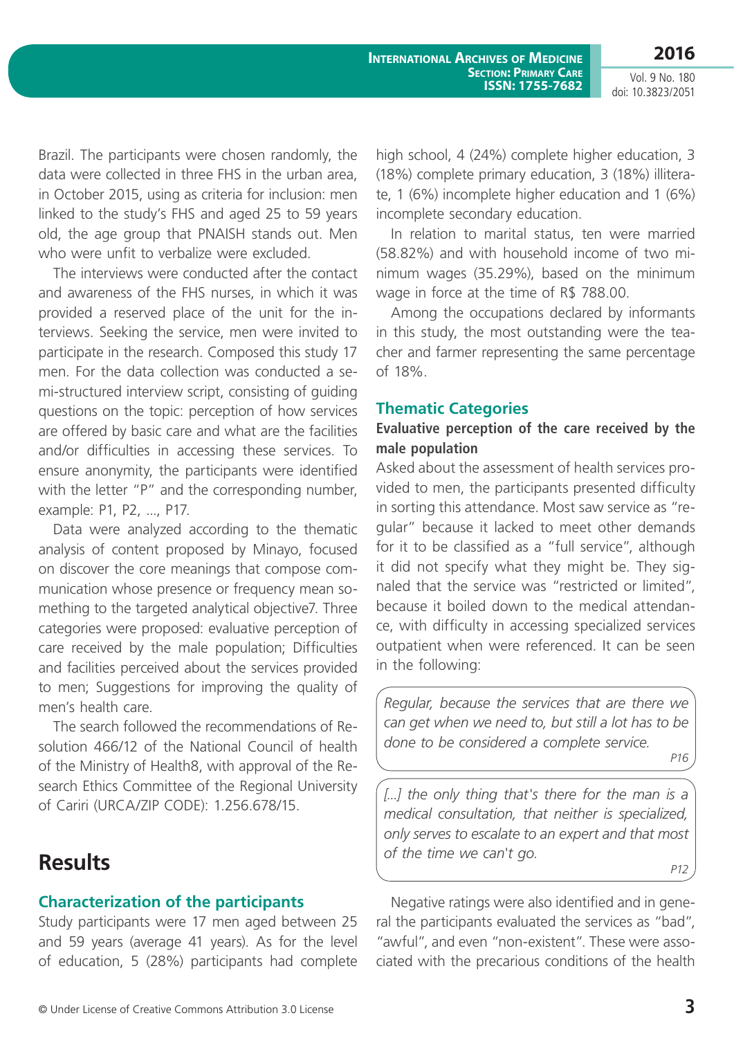**2016**

**International Archives of Medicine Section: Primary Care ISSN: 1755-7682**

Vol. 9 No. 180 doi: 10.3823/2051

Brazil. The participants were chosen randomly, the data were collected in three FHS in the urban area, in October 2015, using as criteria for inclusion: men linked to the study's FHS and aged 25 to 59 years old, the age group that PNAISH stands out. Men who were unfit to verbalize were excluded

The interviews were conducted after the contact and awareness of the FHS nurses, in which it was provided a reserved place of the unit for the interviews. Seeking the service, men were invited to participate in the research. Composed this study 17 men. For the data collection was conducted a semi-structured interview script, consisting of guiding questions on the topic: perception of how services are offered by basic care and what are the facilities and/or difficulties in accessing these services. To ensure anonymity, the participants were identified with the letter "P" and the corresponding number, example: P1, P2, ..., P17.

Data were analyzed according to the thematic analysis of content proposed by Minayo, focused on discover the core meanings that compose communication whose presence or frequency mean something to the targeted analytical objective7. Three categories were proposed: evaluative perception of care received by the male population; Difficulties and facilities perceived about the services provided to men; Suggestions for improving the quality of men's health care.

The search followed the recommendations of Resolution 466/12 of the National Council of health of the Ministry of Health8, with approval of the Research Ethics Committee of the Regional University of Cariri (URCA/ZIP CODE): 1.256.678/15.

# **Results**

## **Characterization of the participants**

Study participants were 17 men aged between 25 and 59 years (average 41 years). As for the level of education, 5 (28%) participants had complete high school, 4 (24%) complete higher education, 3 (18%) complete primary education, 3 (18%) illiterate, 1 (6%) incomplete higher education and 1 (6%) incomplete secondary education.

In relation to marital status, ten were married (58.82%) and with household income of two minimum wages (35.29%), based on the minimum wage in force at the time of R\$ 788.00.

Among the occupations declared by informants in this study, the most outstanding were the teacher and farmer representing the same percentage of 18%.

#### **Thematic Categories**

### **Evaluative perception of the care received by the male population**

Asked about the assessment of health services provided to men, the participants presented difficulty in sorting this attendance. Most saw service as "regular" because it lacked to meet other demands for it to be classified as a "full service", although it did not specify what they might be. They signaled that the service was "restricted or limited", because it boiled down to the medical attendance, with difficulty in accessing specialized services outpatient when were referenced. It can be seen in the following:

*Regular, because the services that are there we can get when we need to, but still a lot has to be done to be considered a complete service.* 

*P16*

*[...] the only thing that's there for the man is a medical consultation, that neither is specialized, only serves to escalate to an expert and that most of the time we can't go.* 

*P12*

Negative ratings were also identified and in general the participants evaluated the services as "bad", "awful", and even "non-existent". These were associated with the precarious conditions of the health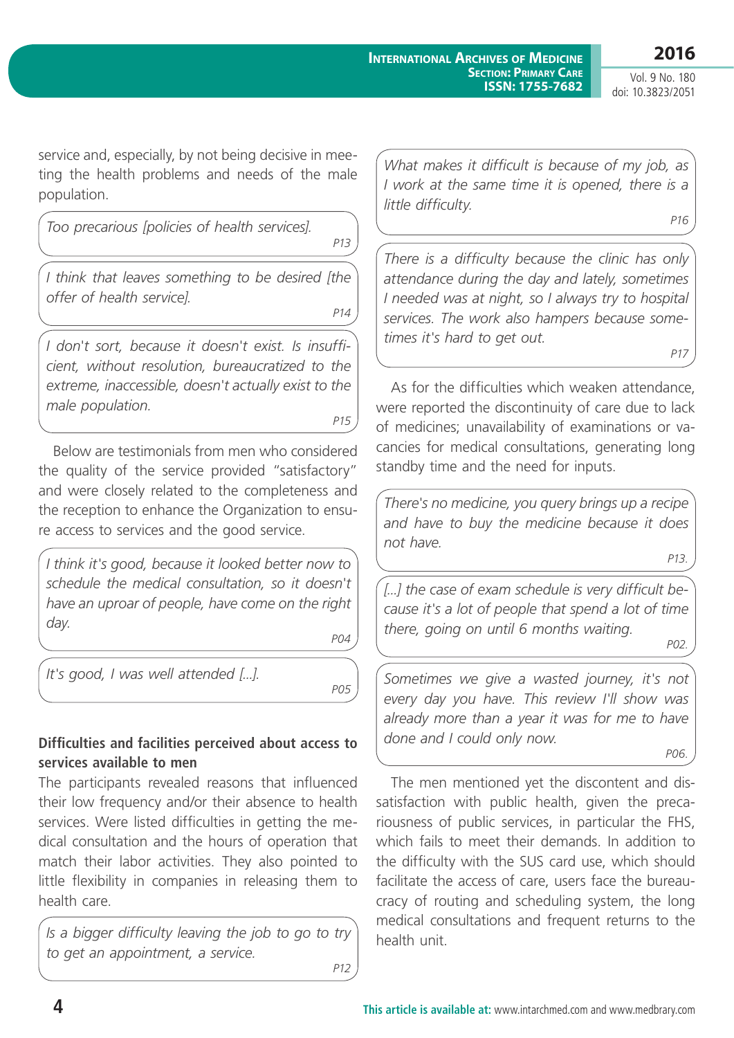**2016** Vol. 9 No. 180

doi: 10.3823/2051

service and, especially, by not being decisive in meeting the health problems and needs of the male population.

*Too precarious [policies of health services].* 

*P13*

*I think that leaves something to be desired [the offer of health service].* 

*P14*

*I don't sort, because it doesn't exist. Is insufficient, without resolution, bureaucratized to the extreme, inaccessible, doesn't actually exist to the male population.* 

*P15*

Below are testimonials from men who considered the quality of the service provided "satisfactory" and were closely related to the completeness and the reception to enhance the Organization to ensure access to services and the good service.

*I think it's good, because it looked better now to schedule the medical consultation, so it doesn't have an uproar of people, have come on the right day.*

*P04*

*It's good, I was well attended [...].* 

*P05*

## **Difficulties and facilities perceived about access to services available to men**

The participants revealed reasons that influenced their low frequency and/or their absence to health services. Were listed difficulties in getting the medical consultation and the hours of operation that match their labor activities. They also pointed to little flexibility in companies in releasing them to health care.

*Is a bigger difficulty leaving the job to go to try to get an appointment, a service. P12*

*What makes it difficult is because of my job, as I work at the same time it is opened, there is a little difficulty. P16*

*There is a difficulty because the clinic has only attendance during the day and lately, sometimes I needed was at night, so I always try to hospital services. The work also hampers because sometimes it's hard to get out. P17*

As for the difficulties which weaken attendance, were reported the discontinuity of care due to lack of medicines; unavailability of examinations or vacancies for medical consultations, generating long standby time and the need for inputs.

*There's no medicine, you query brings up a recipe and have to buy the medicine because it does not have.*

*P13.*

*[...] the case of exam schedule is very difficult because it's a lot of people that spend a lot of time there, going on until 6 months waiting.* 

*P02.*

*Sometimes we give a wasted journey, it's not every day you have. This review I'll show was already more than a year it was for me to have done and I could only now.*

*P06.*

The men mentioned yet the discontent and dissatisfaction with public health, given the precariousness of public services, in particular the FHS, which fails to meet their demands. In addition to the difficulty with the SUS card use, which should facilitate the access of care, users face the bureaucracy of routing and scheduling system, the long medical consultations and frequent returns to the health unit.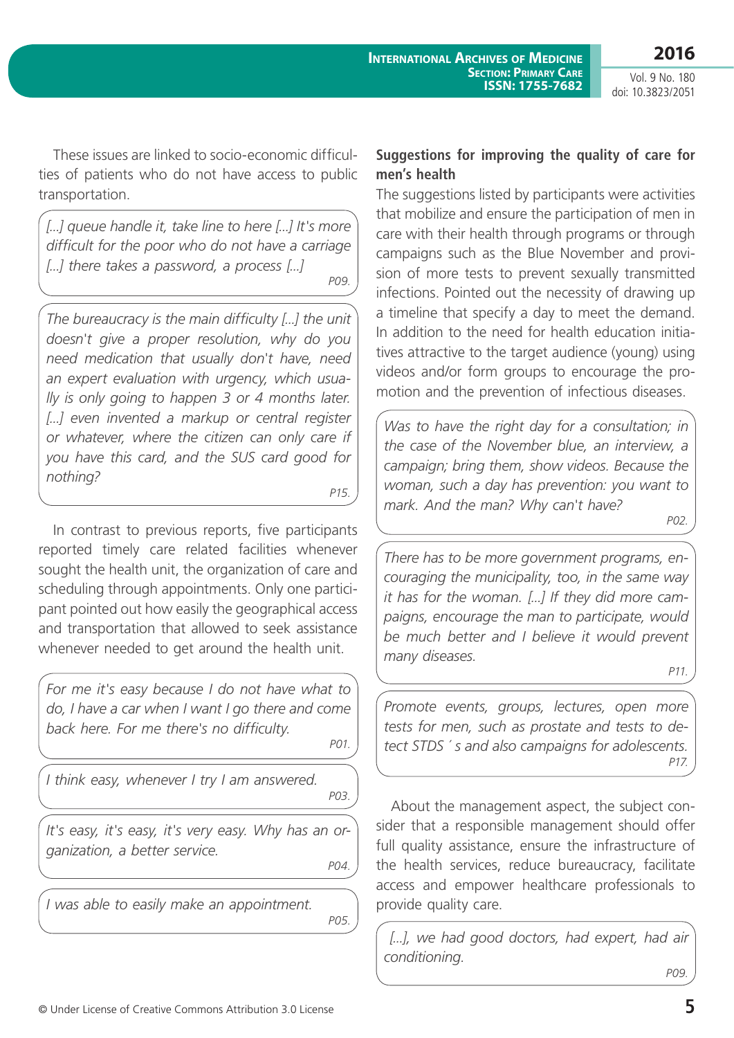**2016**

Vol. 9 No. 180 doi: 10.3823/2051

These issues are linked to socio-economic difficulties of patients who do not have access to public transportation.

*[...] queue handle it, take line to here [...] It's more difficult for the poor who do not have a carriage [...] there takes a password, a process [...] P09.*

*The bureaucracy is the main difficulty [...] the unit doesn't give a proper resolution, why do you need medication that usually don't have, need an expert evaluation with urgency, which usually is only going to happen 3 or 4 months later.*  [...] even invented a markup or central register *or whatever, where the citizen can only care if you have this card, and the SUS card good for nothing?*

*P15.*

In contrast to previous reports, five participants reported timely care related facilities whenever sought the health unit, the organization of care and scheduling through appointments. Only one participant pointed out how easily the geographical access and transportation that allowed to seek assistance whenever needed to get around the health unit.

*For me it's easy because I do not have what to do, I have a car when I want I go there and come back here. For me there's no difficulty.* 

*P01.*

*I think easy, whenever I try I am answered.* 

*P03.*

*It's easy, it's easy, it's very easy. Why has an organization, a better service.*

*P04.*

*I was able to easily make an appointment.*

*P05.*

## **Suggestions for improving the quality of care for men's health**

The suggestions listed by participants were activities that mobilize and ensure the participation of men in care with their health through programs or through campaigns such as the Blue November and provision of more tests to prevent sexually transmitted infections. Pointed out the necessity of drawing up a timeline that specify a day to meet the demand. In addition to the need for health education initiatives attractive to the target audience (young) using videos and/or form groups to encourage the promotion and the prevention of infectious diseases.

*Was to have the right day for a consultation; in the case of the November blue, an interview, a campaign; bring them, show videos. Because the woman, such a day has prevention: you want to mark. And the man? Why can't have?*

*P02.*

*There has to be more government programs, encouraging the municipality, too, in the same way it has for the woman. [...] If they did more campaigns, encourage the man to participate, would be much better and I believe it would prevent many diseases.* 

*P11.*

*Promote events, groups, lectures, open more tests for men, such as prostate and tests to detect STDS ´ s and also campaigns for adolescents. P17.*

About the management aspect, the subject consider that a responsible management should offer full quality assistance, ensure the infrastructure of the health services, reduce bureaucracy, facilitate access and empower healthcare professionals to provide quality care.

 *[...], we had good doctors, had expert, had air conditioning.*

*P09.*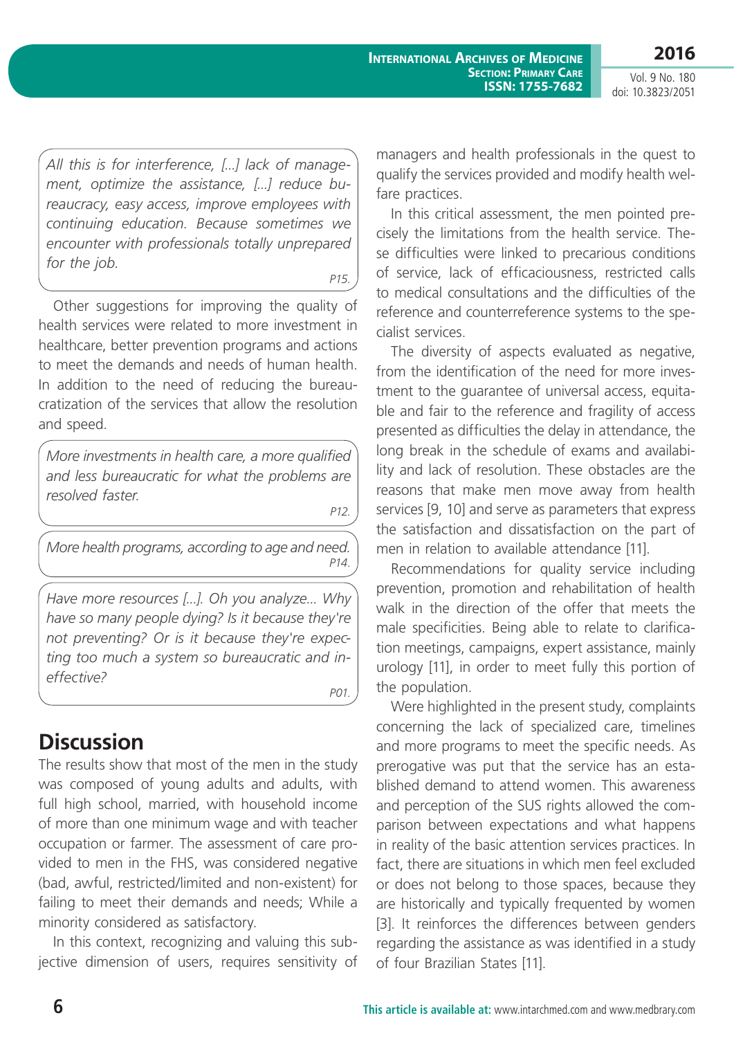**2016**

Vol. 9 No. 180 doi: 10.3823/2051

*All this is for interference, [...] lack of management, optimize the assistance, [...] reduce bureaucracy, easy access, improve employees with continuing education. Because sometimes we encounter with professionals totally unprepared for the job.*

*P15.*

Other suggestions for improving the quality of health services were related to more investment in healthcare, better prevention programs and actions to meet the demands and needs of human health. In addition to the need of reducing the bureaucratization of the services that allow the resolution and speed.

*More investments in health care, a more qualified and less bureaucratic for what the problems are resolved faster.*

*P12.*

*More health programs, according to age and need. P14.*

*Have more resources [...]. Oh you analyze... Why have so many people dying? Is it because they're not preventing? Or is it because they're expecting too much a system so bureaucratic and ineffective?*

*P01.*

# **Discussion**

The results show that most of the men in the study was composed of young adults and adults, with full high school, married, with household income of more than one minimum wage and with teacher occupation or farmer. The assessment of care provided to men in the FHS, was considered negative (bad, awful, restricted/limited and non-existent) for failing to meet their demands and needs; While a minority considered as satisfactory.

In this context, recognizing and valuing this subjective dimension of users, requires sensitivity of managers and health professionals in the quest to qualify the services provided and modify health welfare practices.

In this critical assessment, the men pointed precisely the limitations from the health service. These difficulties were linked to precarious conditions of service, lack of efficaciousness, restricted calls to medical consultations and the difficulties of the reference and counterreference systems to the specialist services.

The diversity of aspects evaluated as negative, from the identification of the need for more investment to the guarantee of universal access, equitable and fair to the reference and fragility of access presented as difficulties the delay in attendance, the long break in the schedule of exams and availability and lack of resolution. These obstacles are the reasons that make men move away from health services [9, 10] and serve as parameters that express the satisfaction and dissatisfaction on the part of men in relation to available attendance [11].

Recommendations for quality service including prevention, promotion and rehabilitation of health walk in the direction of the offer that meets the male specificities. Being able to relate to clarification meetings, campaigns, expert assistance, mainly urology [11], in order to meet fully this portion of the population.

Were highlighted in the present study, complaints concerning the lack of specialized care, timelines and more programs to meet the specific needs. As prerogative was put that the service has an established demand to attend women. This awareness and perception of the SUS rights allowed the comparison between expectations and what happens in reality of the basic attention services practices. In fact, there are situations in which men feel excluded or does not belong to those spaces, because they are historically and typically frequented by women [3]. It reinforces the differences between genders regarding the assistance as was identified in a study of four Brazilian States [11].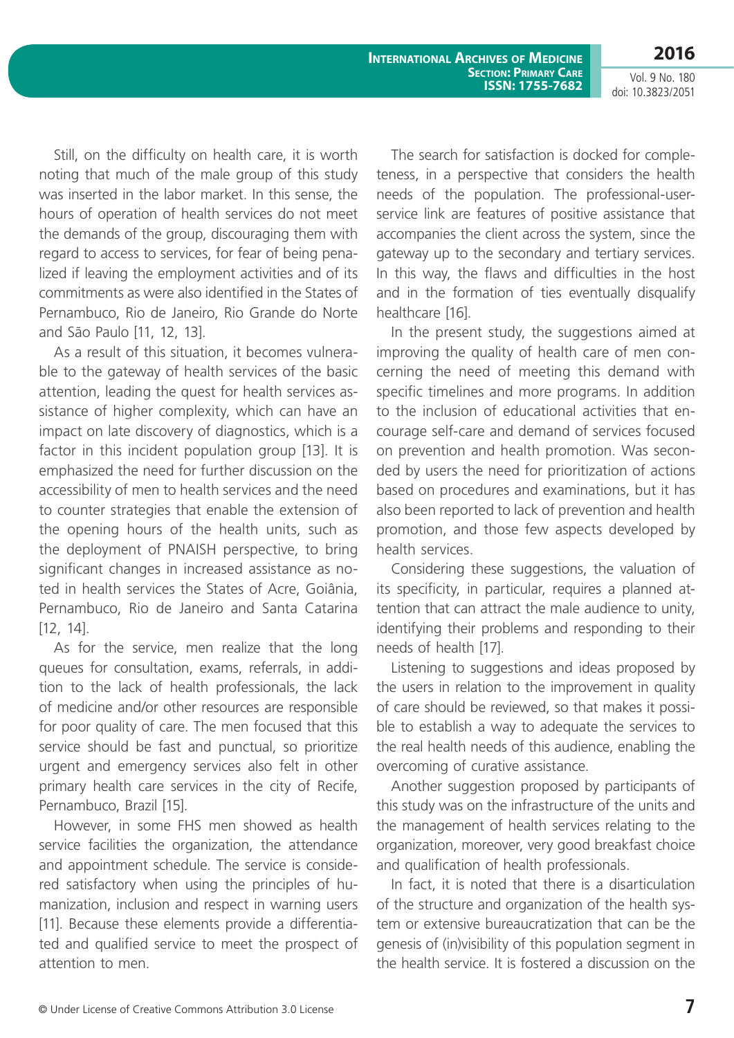**International Archives of Medicine Section: Primary Care ISSN: 1755-7682**

Vol. 9 No. 180 doi: 10.3823/2051

**2016**

Still, on the difficulty on health care, it is worth noting that much of the male group of this study was inserted in the labor market. In this sense, the hours of operation of health services do not meet the demands of the group, discouraging them with regard to access to services, for fear of being penalized if leaving the employment activities and of its commitments as were also identified in the States of Pernambuco, Rio de Janeiro, Rio Grande do Norte and São Paulo [11, 12, 13].

As a result of this situation, it becomes vulnerable to the gateway of health services of the basic attention, leading the quest for health services assistance of higher complexity, which can have an impact on late discovery of diagnostics, which is a factor in this incident population group [13]. It is emphasized the need for further discussion on the accessibility of men to health services and the need to counter strategies that enable the extension of the opening hours of the health units, such as the deployment of PNAISH perspective, to bring significant changes in increased assistance as noted in health services the States of Acre, Goiânia, Pernambuco, Rio de Janeiro and Santa Catarina [12, 14].

As for the service, men realize that the long queues for consultation, exams, referrals, in addition to the lack of health professionals, the lack of medicine and/or other resources are responsible for poor quality of care. The men focused that this service should be fast and punctual, so prioritize urgent and emergency services also felt in other primary health care services in the city of Recife, Pernambuco, Brazil [15].

However, in some FHS men showed as health service facilities the organization, the attendance and appointment schedule. The service is considered satisfactory when using the principles of humanization, inclusion and respect in warning users [11]. Because these elements provide a differentiated and qualified service to meet the prospect of attention to men.

The search for satisfaction is docked for completeness, in a perspective that considers the health needs of the population. The professional-userservice link are features of positive assistance that accompanies the client across the system, since the gateway up to the secondary and tertiary services. In this way, the flaws and difficulties in the host and in the formation of ties eventually disqualify healthcare [16].

In the present study, the suggestions aimed at improving the quality of health care of men concerning the need of meeting this demand with specific timelines and more programs. In addition to the inclusion of educational activities that encourage self-care and demand of services focused on prevention and health promotion. Was seconded by users the need for prioritization of actions based on procedures and examinations, but it has also been reported to lack of prevention and health promotion, and those few aspects developed by health services.

Considering these suggestions, the valuation of its specificity, in particular, requires a planned attention that can attract the male audience to unity, identifying their problems and responding to their needs of health [17].

Listening to suggestions and ideas proposed by the users in relation to the improvement in quality of care should be reviewed, so that makes it possible to establish a way to adequate the services to the real health needs of this audience, enabling the overcoming of curative assistance.

Another suggestion proposed by participants of this study was on the infrastructure of the units and the management of health services relating to the organization, moreover, very good breakfast choice and qualification of health professionals.

In fact, it is noted that there is a disarticulation of the structure and organization of the health system or extensive bureaucratization that can be the genesis of (in)visibility of this population segment in the health service. It is fostered a discussion on the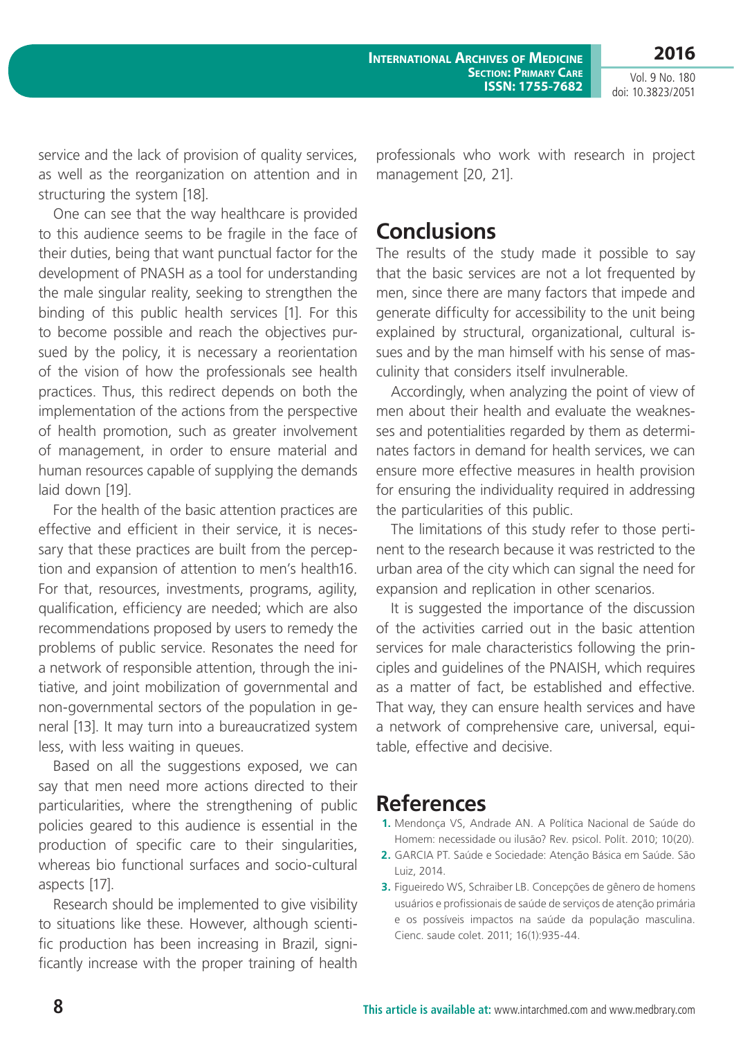**International Archives of Medicine Section: Primary Care ISSN: 1755-7682**

Vol. 9 No. 180 doi: 10.3823/2051

**2016**

service and the lack of provision of quality services, as well as the reorganization on attention and in structuring the system [18].

One can see that the way healthcare is provided to this audience seems to be fragile in the face of their duties, being that want punctual factor for the development of PNASH as a tool for understanding the male singular reality, seeking to strengthen the binding of this public health services [1]. For this to become possible and reach the objectives pursued by the policy, it is necessary a reorientation of the vision of how the professionals see health practices. Thus, this redirect depends on both the implementation of the actions from the perspective of health promotion, such as greater involvement of management, in order to ensure material and human resources capable of supplying the demands laid down [19].

For the health of the basic attention practices are effective and efficient in their service, it is necessary that these practices are built from the perception and expansion of attention to men's health16. For that, resources, investments, programs, agility, qualification, efficiency are needed; which are also recommendations proposed by users to remedy the problems of public service. Resonates the need for a network of responsible attention, through the initiative, and joint mobilization of governmental and non-governmental sectors of the population in general [13]. It may turn into a bureaucratized system less, with less waiting in queues.

Based on all the suggestions exposed, we can say that men need more actions directed to their particularities, where the strengthening of public policies geared to this audience is essential in the production of specific care to their singularities, whereas bio functional surfaces and socio-cultural aspects [17].

Research should be implemented to give visibility to situations like these. However, although scientific production has been increasing in Brazil, significantly increase with the proper training of health professionals who work with research in project management [20, 21].

# **Conclusions**

The results of the study made it possible to say that the basic services are not a lot frequented by men, since there are many factors that impede and generate difficulty for accessibility to the unit being explained by structural, organizational, cultural issues and by the man himself with his sense of masculinity that considers itself invulnerable.

Accordingly, when analyzing the point of view of men about their health and evaluate the weaknesses and potentialities regarded by them as determinates factors in demand for health services, we can ensure more effective measures in health provision for ensuring the individuality required in addressing the particularities of this public.

The limitations of this study refer to those pertinent to the research because it was restricted to the urban area of the city which can signal the need for expansion and replication in other scenarios.

It is suggested the importance of the discussion of the activities carried out in the basic attention services for male characteristics following the principles and guidelines of the PNAISH, which requires as a matter of fact, be established and effective. That way, they can ensure health services and have a network of comprehensive care, universal, equitable, effective and decisive.

## **References**

- **1.** Mendonça VS, Andrade AN. A Política Nacional de Saúde do Homem: necessidade ou ilusão? Rev. psicol. Polít. 2010; 10(20).
- **2.** GARCIA PT. Saúde e Sociedade: Atenção Básica em Saúde. São Luiz, 2014.
- **3.** Figueiredo WS, Schraiber LB. Concepções de gênero de homens usuários e profissionais de saúde de serviços de atenção primária e os possíveis impactos na saúde da população masculina. Cienc. saude colet. 2011; 16(1):935-44.